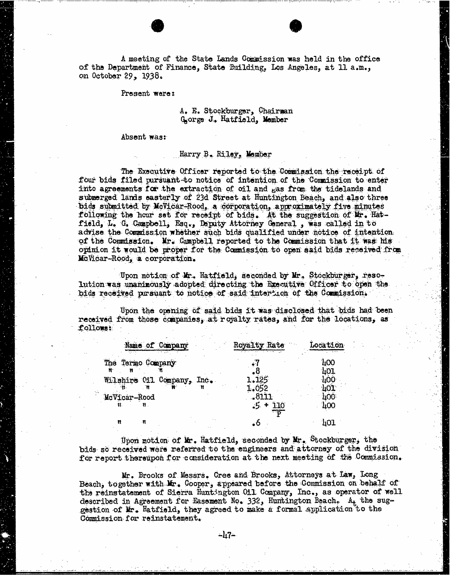A meeting of the State Lands Commission was held in the office of the Department of Finance, State Building, Los Angeles, at 11 a.m., on October 29, 1938.

Present were:

A. E. Stockburger, Chairman Gorge J.. Hatfield, Member

Absent was:

## Harry B. Riley, Member

The Executive Officer reported to the Commission the receipt of four bids filed pursuant to notice of intention of the Commission to enter into agreements for the extraction of oil and gas from the tidelands and submerged lands easterly of 23d Street at Huntington Beach, and also three bids submitted by McVicar-Rood, a corporation, approximately five minutes following the hour set for receipt of bids. At the suggestion of Mr. Hatfield, L. G. Campbell, Esq., Deputy Attorney General , was called in to advise the Commission whether such bids qualified under notice of intention of the Commission. Mr. Campbell reported to the Commission that it was his opinion it would be proper for the Commission to open said bids received from Mc Vicar-Rood, a corporation.

Upon motion of Mr. Hatfield, seconded by Mr, Stockburger, reso- lution was unanimously adopted directing the Executive Officer to open the bids received pursuant to notice of said intertion of the Commission,

Upon the opening of said bids it was disclosed that bids had been received from those companies, at royalty rates, and for the locations, as follows:

|              | Name of Company            |         | Royalty Rate | Location |
|--------------|----------------------------|---------|--------------|----------|
|              | The Termo Company          |         |              | 400      |
| Ħ.           |                            |         |              |          |
|              | Wilshire Cil Company, Inc. |         | 195          |          |
|              |                            |         | 1.052        |          |
| McVicar-Rood |                            | $-8111$ |              |          |
| 11.          | 81.                        |         | $5 + 110$    | 400      |
| n            | $\mathbf{H}$               |         |              | 401      |

Upon motion of Mr. Hatfield, seconded by Mr. Stockburger, the bids so received were referred to the engineers and attorney of the division for report thereupon for consideration at the next meeting of the Commission.

Mr. Brooks of Messrs. Cree and Brooks, Attorneys at Law, Long<br>Beach, together with Mr. Cooper, appeared before the Commission on behalf of the reinstatement of Sierra Huntington Oil Company, Inc., as operator of well described in Agreement for Easement No. 332, Huntington Beach. At the suggestion of Mr. Hatfield, they agreed to make a formal application to the Commission for reinstatement.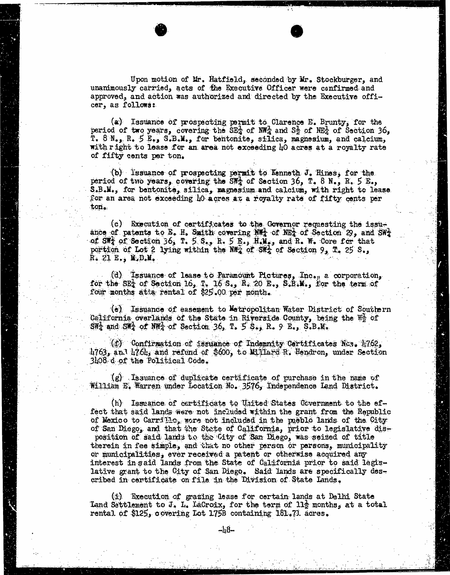Upon motion of Mr. Hatfield, seconded by Mr. Stockburger, and unanimously carried, acts of the Executive Officer were confirmed and approved, and action was authorized and directed by the Executive officer, as follows:

(a) Issuance of prospecting permit to Clarence E. Brunty, for the period of two years, covering the  $SE_4$  of NW<sub>4</sub> and  $S_2^2$  of NE<sub>4</sub> of Section 36, r. 8 N., R. 5 E., S.B.M., for bentonite, silica, magnesium, and calcium, with right to lease for an area not exceeding 40 acres at a royalty rate of fifty cents per ton.

(b) Issuance of prospecting permit to Kenneth J. Hines, for the period of two years, covering the SWA of Section 36, T. 8 N., R. 5 E., S.B.M., for bentonite, silica, magnesium and calcium, with right to lease. for an area not exceeding 40 acres at a royalty rate of fifty cents per ton.

(c) Execution of certificates to the Governor requesting the issuance of patents to E. H. Smith covering  $N_{\text{max}}$  of NE<sub>A</sub> of Section 29, and SW<sub>2</sub> of  $\widetilde{\mathsf{SW}}_4$  of Section 36, T. 5. S., R. 5 E., H.M., and R. W. Core for that portion of Lot 2 lying within the Na<sub>g</sub> of SH<sub>4</sub> of Section 9, T. 25 S., R. 21 E., M.D.M.

(d) Issuance of lease to Paramount Pictures, Inc., a corporation, for the SET of Section 16, T. 16 S., R. 20 E., S.B.M., for the term of four months atta rental of \$25.00 per month.

(e) Issuance of easement to Metropolitan Water District of Southern California overlands of the State in Riverside County, being the We of  $\text{SW}_4^1$  and  $\text{SW}_4^1$  of  $\text{NW}_4^2$  of Section 36, T. 5 S., R. 9 E., S.B.M.

(f) Confirmation of issuance of Indemnity Certificates Nos. 1762, 4763, 4763, 4763, 4763, 4763, 4763, 4763, 4763, 4763, 4764, and refund of \$600, to Millard R. Hendron, under Section 3408 d of the Political Code.

(g) Issuance of duplicate certificate of purchase in the name of William E. Warren under Location No. 3576, Independence Lend District.

(h) Issuance of certificate to United States Government to the effect that said lands were not included within the grant from the Republic of Mexico to Carrillo, wore not included in the pueblo lands of the City of San Diego, and that the State of California, prior to legislative disposition of said lands to the City of San Diego, was seized of title therein in fee simple, and that no other person or persons, municipality or municipalities, ever received a patent or otherwise acquired any interest in said lands from the State of California prior to said legislative grant to the City of San Diego. Said lands are specifically described in certificate on file in the Division of State Lands.

(i) Execution of grazing lease for certain lands at Delhi State Land Settlement to J. L. LaCroix, for the term of 11g months, at a total rental of \$125, covering Lot 1758 containing 181.71. acres.